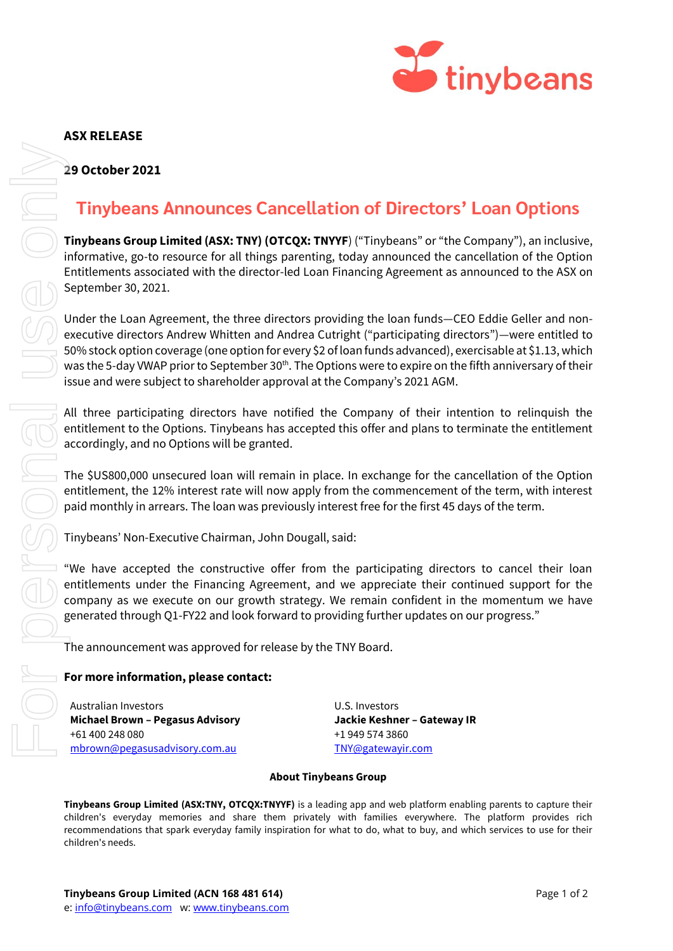

## **ASX RELEASE**

### **29 October 2021**

# **Tinybeans Announces Cancellation of Directors' Loan Options**

**Tinybeans Group Limited (ASX: TNY) (OTCQX: TNYYF**) ("Tinybeans" or "the Company"), an inclusive, informative, go-to resource for all things parenting, today announced the cancellation of the Option Entitlements associated with the director-led Loan Financing Agreement as announced to the ASX on September 30, 2021.

Under the Loan Agreement, the three directors providing the loan funds—CEO Eddie Geller and nonexecutive directors Andrew Whitten and Andrea Cutright ("participating directors")—were entitled to 50% stock option coverage (one option for every \$2 of loan funds advanced), exercisable at \$1.13, which was the 5-day VWAP prior to September 30<sup>th</sup>. The Options were to expire on the fifth anniversary of their issue and were subject to shareholder approval at the Company's 2021 AGM.

All three participating directors have notified the Company of their intention to relinquish the entitlement to the Options. Tinybeans has accepted this offer and plans to terminate the entitlement accordingly, and no Options will be granted.

The \$US800,000 unsecured loan will remain in place. In exchange for the cancellation of the Option entitlement, the 12% interest rate will now apply from the commencement of the term, with interest paid monthly in arrears. The loan was previously interest free for the first 45 days of the term.

Tinybeans' Non-Executive Chairman, John Dougall, said:

"We have accepted the constructive offer from the participating directors to cancel their loan entitlements under the Financing Agreement, and we appreciate their continued support for the company as we execute on our growth strategy. We remain confident in the momentum we have generated through Q1-FY22 and look forward to providing further updates on our progress."

The announcement was approved for release by the TNY Board.

## **For more information, please contact:**

Australian Investors **Michael Brown – Pegasus Advisory** +61 400 248 080 [mbrown@pegasusadvisory.com.au](mailto:mbrown@pegasusadvisory.com.au)

U.S. Investors **Jackie Keshner – Gateway IR** +1 949 574 3860 [TNY@gatewayir.com](mailto:TNY@gatewayir.com)

#### **About Tinybeans Group**

**Tinybeans Group Limited (ASX:TNY, OTCQX:TNYYF)** is a leading app and web platform enabling parents to capture their children's everyday memories and share them privately with families everywhere. The platform provides rich recommendations that spark everyday family inspiration for what to do, what to buy, and which services to use for their children's needs.